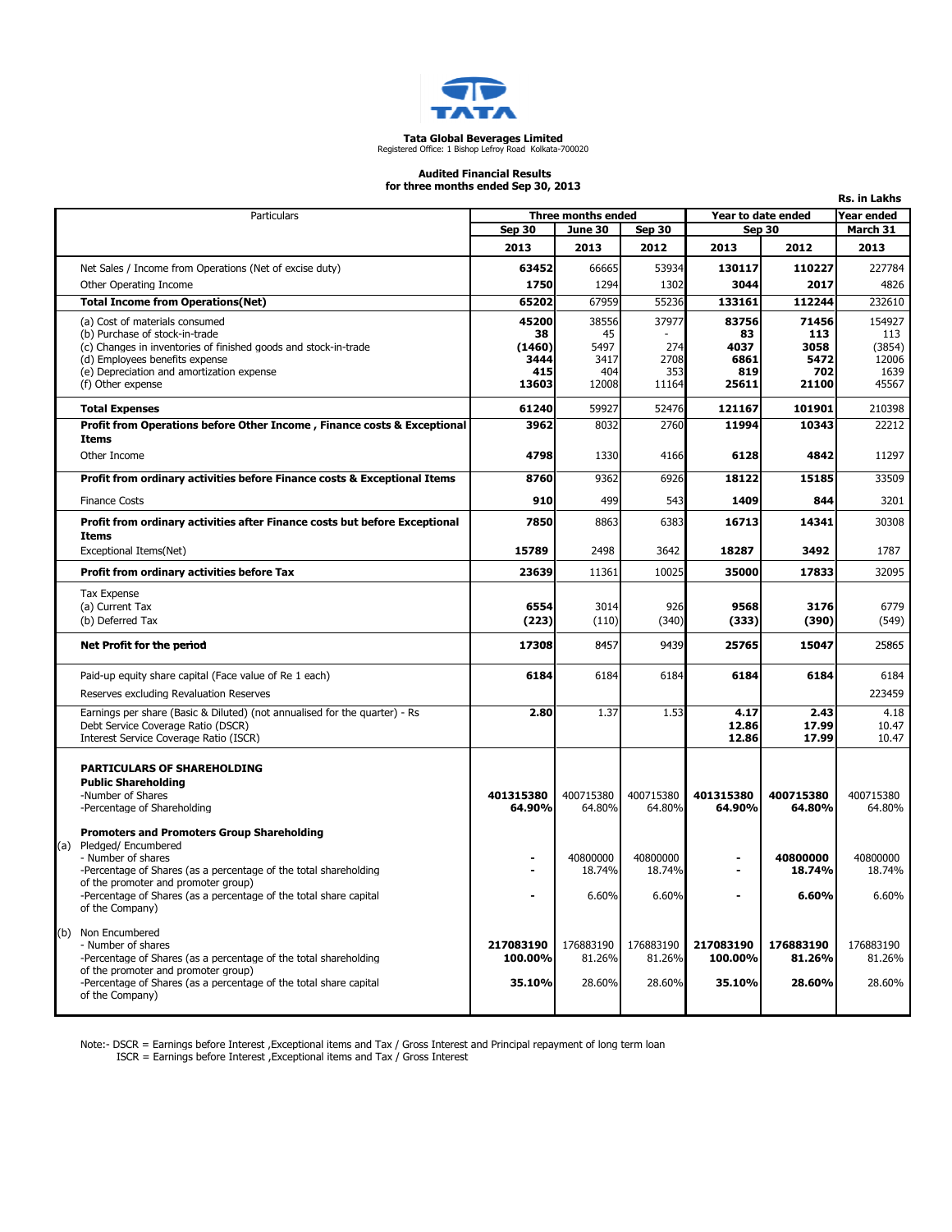

### **Tata Global Beverages Limited**<br>Registered Office: 1 Bishop Lefroy Road Kolkata-700020

#### Audited Financial Results for three months ended Sep 30, 2013

| ror three months enged 5ep 50, 2013<br>Rs. in Lakhs |                                                                                                   |                    |            |               |                    |               |               |  |  |
|-----------------------------------------------------|---------------------------------------------------------------------------------------------------|--------------------|------------|---------------|--------------------|---------------|---------------|--|--|
|                                                     | Particulars                                                                                       | Three months ended |            |               | Year to date ended |               | Year ended    |  |  |
|                                                     |                                                                                                   | Sep 30             | June 30    | <b>Sep 30</b> |                    | <b>Sep 30</b> | March 31      |  |  |
|                                                     |                                                                                                   | 2013               | 2013       | 2012          | 2013               | 2012          | 2013          |  |  |
|                                                     | Net Sales / Income from Operations (Net of excise duty)                                           | 63452              | 66665      | 53934         | 130117             | 110227        | 227784        |  |  |
|                                                     | Other Operating Income                                                                            | 1750               | 1294       | 1302          | 3044               | 2017          | 4826          |  |  |
|                                                     | <b>Total Income from Operations(Net)</b>                                                          | 65202              | 67959      | 55236         | 133161             | 112244        | 232610        |  |  |
|                                                     | (a) Cost of materials consumed                                                                    | 45200              | 38556      | 37977         | 83756              | 71456         | 154927        |  |  |
|                                                     | (b) Purchase of stock-in-trade<br>(c) Changes in inventories of finished goods and stock-in-trade | 38<br>(1460)       | 45<br>5497 | 274           | 83<br>4037         | 113<br>3058   | 113<br>(3854) |  |  |
|                                                     | (d) Employees benefits expense                                                                    | 3444               | 3417       | 2708          | 6861               | 5472          | 12006         |  |  |
|                                                     | (e) Depreciation and amortization expense                                                         | 415                | 404        | 353           | 819                | 702           | 1639          |  |  |
|                                                     | (f) Other expense                                                                                 | 13603              | 12008      | 11164         | 25611              | 21100         | 45567         |  |  |
|                                                     | <b>Total Expenses</b>                                                                             | 61240              | 59927      | 52476         | 121167             | 101901        | 210398        |  |  |
|                                                     | Profit from Operations before Other Income, Finance costs & Exceptional                           | 3962               | 8032       | 2760          | 11994              | 10343         | 22212         |  |  |
|                                                     | <b>Items</b>                                                                                      |                    |            |               |                    |               |               |  |  |
|                                                     | Other Income                                                                                      | 4798               | 1330       | 4166          | 6128               | 4842          | 11297         |  |  |
|                                                     | Profit from ordinary activities before Finance costs & Exceptional Items                          | 8760               | 9362       | 6926          | 18122              | 15185         | 33509         |  |  |
|                                                     | <b>Finance Costs</b>                                                                              | 910                | 499        | 543           | 1409               | 844           | 3201          |  |  |
|                                                     | Profit from ordinary activities after Finance costs but before Exceptional                        | 7850               | 8863       | 6383          | 16713              | 14341         | 30308         |  |  |
|                                                     | Items<br>Exceptional Items(Net)                                                                   | 15789              | 2498       | 3642          | 18287              | 3492          | 1787          |  |  |
|                                                     |                                                                                                   |                    |            |               |                    |               |               |  |  |
|                                                     | <b>Profit from ordinary activities before Tax</b>                                                 | 23639              | 11361      | 10025         | 35000              | 17833         | 32095         |  |  |
|                                                     | <b>Tax Expense</b>                                                                                | 6554               | 3014       | 926           | 9568               | 3176          | 6779          |  |  |
|                                                     | (a) Current Tax<br>(b) Deferred Tax                                                               | (223)              | (110)      | (340)         | (333)              | (390)         | (549)         |  |  |
|                                                     |                                                                                                   |                    |            |               |                    |               |               |  |  |
|                                                     | Net Profit for the period                                                                         | 17308              | 8457       | 9439          | 25765              | 15047         | 25865         |  |  |
|                                                     | Paid-up equity share capital (Face value of Re 1 each)                                            | 6184               | 6184       | 6184          | 6184               | 6184          | 6184          |  |  |
|                                                     | Reserves excluding Revaluation Reserves                                                           |                    |            |               |                    |               | 223459        |  |  |
|                                                     | Earnings per share (Basic & Diluted) (not annualised for the quarter) - Rs                        | 2.80               | 1.37       | 1.53          | 4.17               | 2.43          | 4.18          |  |  |
|                                                     | Debt Service Coverage Ratio (DSCR)                                                                |                    |            |               | 12.86              | 17.99         | 10.47         |  |  |
|                                                     | Interest Service Coverage Ratio (ISCR)                                                            |                    |            |               | 12.86              | 17.99         | 10.47         |  |  |
|                                                     | <b>PARTICULARS OF SHAREHOLDING</b>                                                                |                    |            |               |                    |               |               |  |  |
|                                                     | <b>Public Shareholding</b>                                                                        |                    |            |               |                    |               |               |  |  |
|                                                     | -Number of Shares                                                                                 | 401315380          | 400715380  | 400715380     | 401315380          | 400715380     | 400715380     |  |  |
|                                                     | -Percentage of Shareholding                                                                       | 64.90%             | 64.80%     | 64.80%        | 64.90%             | 64.80%        | 64.80%        |  |  |
|                                                     | <b>Promoters and Promoters Group Shareholding</b>                                                 |                    |            |               |                    |               |               |  |  |
|                                                     | (a) Pledged/Encumbered<br>- Number of shares                                                      |                    | 40800000   | 40800000      |                    | 40800000      | 40800000      |  |  |
|                                                     | -Percentage of Shares (as a percentage of the total shareholding                                  |                    | 18.74%     | 18.74%        |                    | 18.74%        | 18.74%        |  |  |
|                                                     | of the promoter and promoter group)                                                               |                    |            |               |                    |               |               |  |  |
|                                                     | -Percentage of Shares (as a percentage of the total share capital<br>of the Company)              |                    | 6.60%      | 6.60%         |                    | 6.60%         | 6.60%         |  |  |
|                                                     |                                                                                                   |                    |            |               |                    |               |               |  |  |
|                                                     | (b) Non Encumbered<br>- Number of shares                                                          | 217083190          | 176883190  | 176883190     | 217083190          | 176883190     | 176883190     |  |  |
|                                                     | -Percentage of Shares (as a percentage of the total shareholding                                  | 100.00%            | 81.26%     | 81.26%        | 100.00%            | 81.26%        | 81.26%        |  |  |
|                                                     | of the promoter and promoter group)                                                               |                    |            |               |                    |               |               |  |  |
|                                                     | -Percentage of Shares (as a percentage of the total share capital<br>of the Company)              | 35.10%             | 28.60%     | 28.60%        | 35.10%             | 28.60%        | 28.60%        |  |  |
|                                                     |                                                                                                   |                    |            |               |                    |               |               |  |  |

Note:- DSCR = Earnings before Interest ,Exceptional items and Tax / Gross Interest and Principal repayment of long term loan

ISCR = Earnings before Interest ,Exceptional items and Tax / Gross Interest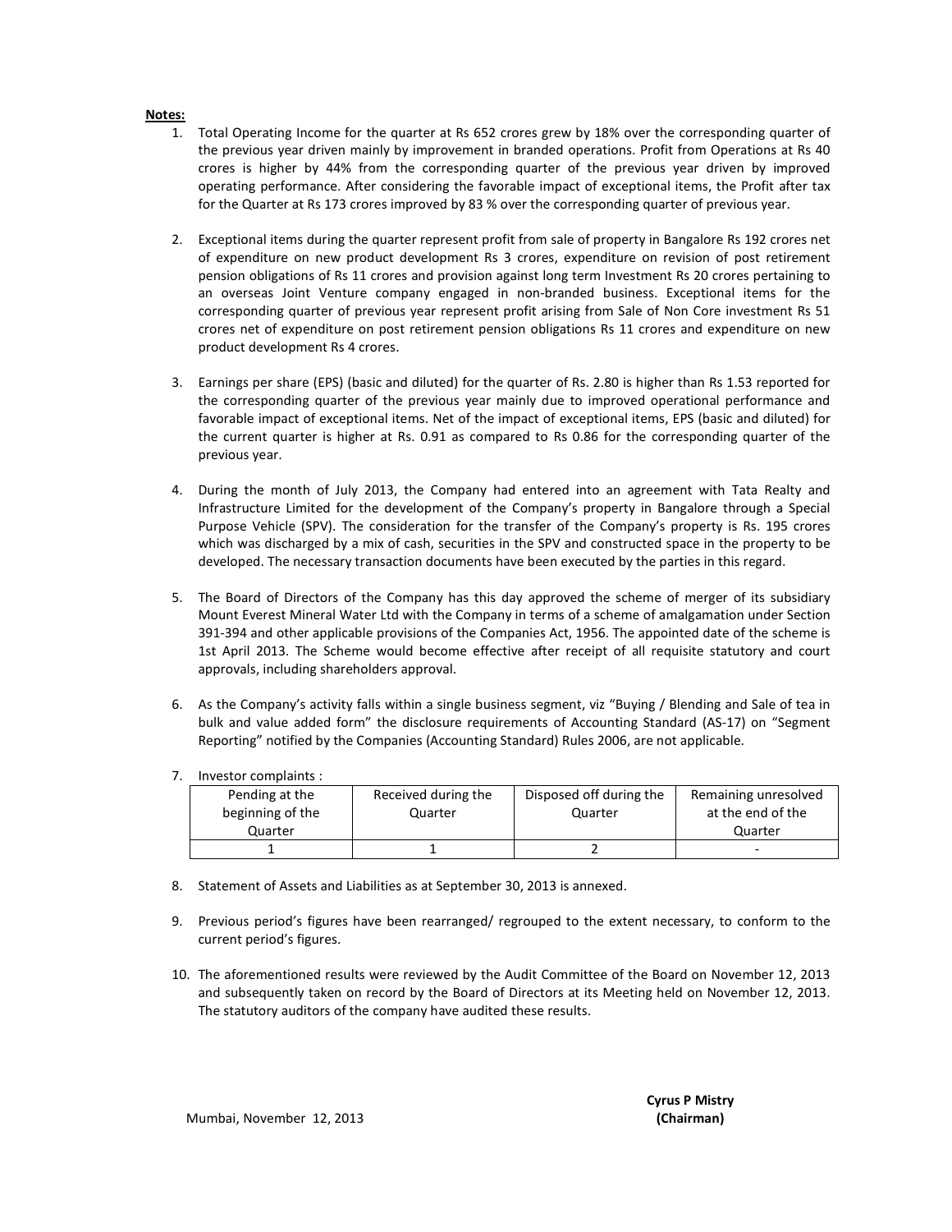#### Notes:

- 1. Total Operating Income for the quarter at Rs 652 crores grew by 18% over the corresponding quarter of the previous year driven mainly by improvement in branded operations. Profit from Operations at Rs 40 crores is higher by 44% from the corresponding quarter of the previous year driven by improved operating performance. After considering the favorable impact of exceptional items, the Profit after tax for the Quarter at Rs 173 crores improved by 83 % over the corresponding quarter of previous year.
- 2. Exceptional items during the quarter represent profit from sale of property in Bangalore Rs 192 crores net of expenditure on new product development Rs 3 crores, expenditure on revision of post retirement pension obligations of Rs 11 crores and provision against long term Investment Rs 20 crores pertaining to an overseas Joint Venture company engaged in non-branded business. Exceptional items for the corresponding quarter of previous year represent profit arising from Sale of Non Core investment Rs 51 crores net of expenditure on post retirement pension obligations Rs 11 crores and expenditure on new product development Rs 4 crores.
- 3. Earnings per share (EPS) (basic and diluted) for the quarter of Rs. 2.80 is higher than Rs 1.53 reported for the corresponding quarter of the previous year mainly due to improved operational performance and favorable impact of exceptional items. Net of the impact of exceptional items, EPS (basic and diluted) for the current quarter is higher at Rs. 0.91 as compared to Rs 0.86 for the corresponding quarter of the previous year.
- 4. During the month of July 2013, the Company had entered into an agreement with Tata Realty and Infrastructure Limited for the development of the Company's property in Bangalore through a Special Purpose Vehicle (SPV). The consideration for the transfer of the Company's property is Rs. 195 crores which was discharged by a mix of cash, securities in the SPV and constructed space in the property to be developed. The necessary transaction documents have been executed by the parties in this regard.
- 5. The Board of Directors of the Company has this day approved the scheme of merger of its subsidiary Mount Everest Mineral Water Ltd with the Company in terms of a scheme of amalgamation under Section 391-394 and other applicable provisions of the Companies Act, 1956. The appointed date of the scheme is 1st April 2013. The Scheme would become effective after receipt of all requisite statutory and court approvals, including shareholders approval.
- 6. As the Company's activity falls within a single business segment, viz "Buying / Blending and Sale of tea in bulk and value added form" the disclosure requirements of Accounting Standard (AS-17) on "Segment Reporting" notified by the Companies (Accounting Standard) Rules 2006, are not applicable.
- 7. Investor complaints :

| Pending at the   | Received during the | Disposed off during the | Remaining unresolved |
|------------------|---------------------|-------------------------|----------------------|
| beginning of the | Quarter             | Quarter                 | at the end of the    |
| Quarter          |                     |                         | Quarter              |
|                  |                     |                         | -                    |

- 8. Statement of Assets and Liabilities as at September 30, 2013 is annexed.
- 9. Previous period's figures have been rearranged/ regrouped to the extent necessary, to conform to the current period's figures.
- 10. The aforementioned results were reviewed by the Audit Committee of the Board on November 12, 2013 and subsequently taken on record by the Board of Directors at its Meeting held on November 12, 2013. The statutory auditors of the company have audited these results.